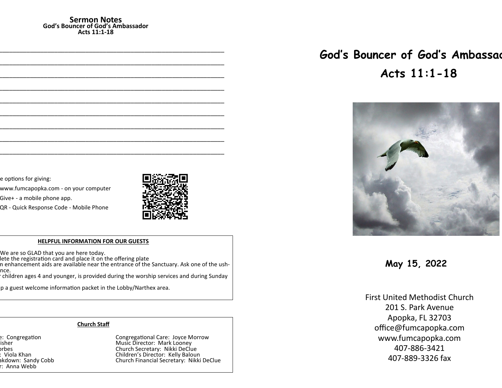#### **Sermon Notes God's Bouncer of God's Ambassador Acts 11:1-18**

e options for giving:

www.fumcapopka.com - on your computer

Give+ - a mobile phone app.

QR - Quick Response Code - Mobile Phone



#### **HELPFUL INFORMATION FOR OUR GUESTS**

We are so GLAD that you are here today.

lete the registration card and place it on the offering plate

n enhancement aids are available near the entrance of the Sanctuary. Ask one of the ushnce.

......<br>children ages 4 and younger, is provided during the worship services and during Sunday

p a guest welcome information packet in the Lobby/Narthex area.

#### **Church Staff**

r: Anna Webb

e: Congregation at Largestian Congregational Care: Joyce Morrow Pastor: John G. Fisher Music Director: Mark Looney orbes Church Secretary: Nikki DeClue<br>Children's Director: Kelly Baloui (Children's Director: Kelly Baloui ) Nursery Workers: Viola Khan Children's Director: Kelly Baloun akdown: Sandy Cobb **Church Financial Secretary: Nikki DeClue** 

# God's Bouncer of God's Ambassad **Acts 11:1-18**



**May 15, 2022**

First United Methodist Church 201 S. Park Avenue Apopka, FL 32703 office@fumcapopka.com www.fumcapopka.com 407-886-3421 407-889-3326 fax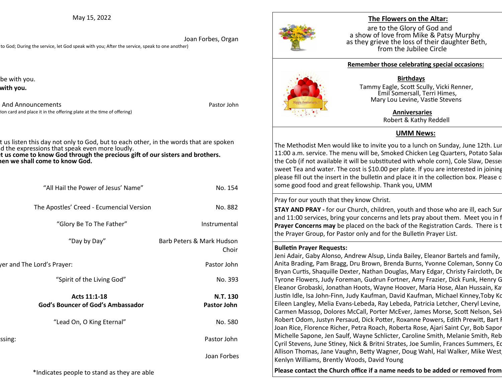May 15, 2022

 Joan Forbes, Organ to God; During the service, let God speak with you; After the service, speak to one another)

be with you. with you.

And Announcements **And Announcements Pastor John** ion card and place it in the offering plate at the time of offering)

t us listen this day not only to God, but to each other, in the words that are spoken d the expressions that speak even more loudly.

**t us come to know God through the precious gift of our sisters and brothers. All: Then we shall come to know God.** 

| "All Hail the Power of Jesus' Name"               | No. 154                            |
|---------------------------------------------------|------------------------------------|
| The Apostles' Creed - Ecumencial Version          | No. 882                            |
| "Glory Be To The Father"                          | Instrumental                       |
| "Day by Day"                                      | Barb Peters & Mark Hudson<br>Choir |
| er and The Lord's Prayer:                         | Pastor John                        |
| "Spirit of the Living God"                        | No. 393                            |
| Acts 11:1-18<br>God's Bouncer of God's Ambassador | N.T. 130<br><b>Pastor John</b>     |
| "Lead On, O King Eternal"                         | No. 580                            |
| ssing:                                            | Pastor John                        |
|                                                   | Joan Forbes                        |
| *Indicates people to stand as they are able       |                                    |



## **The Flowers on the Altar:**

are to the Glory of God and a show of love from Mike & Patsy Murphy as they grieve the loss of their daughter Beth, from the Jubilee Circle



### **Remember those celebrating special occasions:**

#### **Birthdays**

 Tammy Eagle, Scott Scully, Vicki Renner, Emil Somersall, Terri Himes, Mary Lou Levine, Vastie Stevens

#### **Anniversaries**

Robert & Kathy Reddell

# **UMM News:**

The Methodist Men would like to invite you to a lunch on Sunday, June 12th. Lur 11:00 a.m. service. The menu will be, Smoked Chicken Leg Quarters, Potato Sala the Cob (if not available it will be substituted with whole corn), Cole Slaw, Desse sweet Tea and water. The cost is \$10.00 per plate. If you are interested in joining please fill out the insert in the bulletin and place it in the collection box. Please c some good food and great fellowship. Thank you, UMM

## Pray for our youth that they know Christ.

**STAY AND PRAY -** for our Church, children, youth and those who are ill, each Sur and 11:00 services, bring your concerns and lets pray about them. Meet you in f **Prayer Concerns may** be placed on the back of the Registration Cards. There is the Prayer and Prayer and Prayer Prayer and Prayer Brayer Brayer Prayer Brayer Brayer Brayer Brayer Brayer Brayer Brayer Brayer Brayer Brayer the Prayer Group, for Pastor only and for the Bulletin Prayer List.

## **Bulletin Prayer Requests:**

Jeni Adair, Gaby Alonso, Andrew Alsup, Linda Bailey, Eleanor Bartels and family, Anita Brading, Pam Bragg, Dru Brown, Brenda Burns, Yvonne Coleman, Sonny Co Bryan Curtis, Shaquille Dexter, Nathan Douglas, Mary Edgar, Christy Faircloth, De Tyrone Flowers, Judy Foreman, Gudrun Fortner, Amy Frazier, Dick Funk, Henry G Eleanor Grobaski, Jonathan Hoots, Wayne Hoover, Maria Hose, Alan Hussain, Ka Justin Idle, Isa John-Finn, Judy Kaufman, David Kaufman, Michael Kinney,Toby Ko Eileen Langley, Melia Evans-Lebeda, Ray Lebeda, Patricia Letcher, Cheryl Levine, Carmen Massop, Dolores McCall, Porter McEver, James Morse, Scott Nelson, Sel Robert Odom, Justyn Persaud, Dick Potter, Roxanne Powers, Edith Prewitt, Bart I Joan Rice, Florence Richer, Petra Roach, Roberta Rose, Ajari Saint Cyr, Bob Sapor Michelle Sapone, Jen Saulf, Wayne Schlicter, Caroline Smith, Melanie Smith, Reb Cyril Stevens, June Stiney, Nick & Britni Strates, Joe Sumlin, Frances Summers, Eq Allison Thomas, Jane Vaughn, Betty Wagner, Doug Wahl, Hal Walker, Mike West Kenlyn Williams, Brently Woods, David Young

Please contact the Church office if a name needs to be added or removed from